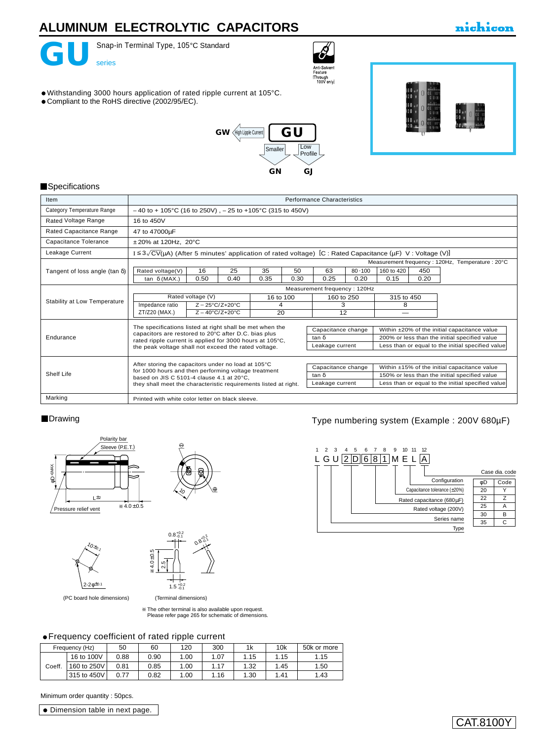

Snap-in Terminal Type, 105°C Standard



### nichicon

- Withstanding 3000 hours application of rated ripple current at 105°C.
- Compliant to the RoHS directive (2002/95/EC).





#### **Specifications**

| Item                                  | <b>Performance Characteristics</b>                                                                                                                                                |                                               |  |  |  |  |  |
|---------------------------------------|-----------------------------------------------------------------------------------------------------------------------------------------------------------------------------------|-----------------------------------------------|--|--|--|--|--|
| Category Temperature Range            | $-40$ to + 105°C (16 to 250V), $-25$ to +105°C (315 to 450V)                                                                                                                      |                                               |  |  |  |  |  |
| Rated Voltage Range                   | 16 to 450V                                                                                                                                                                        |                                               |  |  |  |  |  |
| Rated Capacitance Range               | 47 to 47000µF                                                                                                                                                                     |                                               |  |  |  |  |  |
| Capacitance Tolerance                 | $±20\%$ at 120Hz, 20 $°C$                                                                                                                                                         |                                               |  |  |  |  |  |
| Leakage Current                       | $I \le 3\sqrt{CV(\mu A)}$ (After 5 minutes' application of rated voltage) [C : Rated Capacitance ( $\mu F$ ) V : Voltage (V)]                                                     |                                               |  |  |  |  |  |
|                                       | Measurement frequency: 120Hz, Temperature: 20°C                                                                                                                                   |                                               |  |  |  |  |  |
| Tangent of loss angle (tan $\delta$ ) | 16<br>25<br>35<br>63<br>80.100<br>160 to 420<br>50<br>450<br>Rated voltage(V)                                                                                                     |                                               |  |  |  |  |  |
|                                       | 0.20<br>0.15<br>0.50<br>0.35<br>0.25<br>tan δ (MAX.)<br>0.40<br>0.30<br>0.20                                                                                                      |                                               |  |  |  |  |  |
|                                       | Measurement frequency: 120Hz                                                                                                                                                      |                                               |  |  |  |  |  |
|                                       | Rated voltage (V)<br>16 to 100<br>315 to 450<br>160 to 250                                                                                                                        |                                               |  |  |  |  |  |
| Stability at Low Temperature          | Impedance ratio<br>$Z - 25^{\circ}C/Z + 20^{\circ}C$<br>3<br>8<br>4                                                                                                               |                                               |  |  |  |  |  |
|                                       | ZT/Z20 (MAX.)<br>20<br>12<br>$Z - 40^{\circ}$ C/Z+20 $^{\circ}$ C                                                                                                                 |                                               |  |  |  |  |  |
|                                       | The specifications listed at right shall be met when the                                                                                                                          |                                               |  |  |  |  |  |
|                                       | Capacitance change<br>capacitors are restored to 20°C after D.C. bias plus                                                                                                        | Within ±20% of the initial capacitance value  |  |  |  |  |  |
| Endurance                             | tan δ<br>rated ripple current is applied for 3000 hours at 105°C,                                                                                                                 | 200% or less than the initial specified value |  |  |  |  |  |
|                                       | Less than or equal to the initial specified value<br>Leakage current<br>the peak voltage shall not exceed the rated voltage.                                                      |                                               |  |  |  |  |  |
|                                       |                                                                                                                                                                                   |                                               |  |  |  |  |  |
|                                       | After storing the capacitors under no load at 105°C<br>Capacitance change<br>Within ±15% of the initial capacitance value<br>for 1000 hours and then performing voltage treatment |                                               |  |  |  |  |  |
| Shelf Life                            | 150% or less than the initial specified value<br>tan δ<br>based on JIS C 5101-4 clause 4.1 at 20°C.                                                                               |                                               |  |  |  |  |  |
|                                       | Less than or equal to the initial specified value<br>Leakage current<br>they shall meet the characteristic requirements listed at right.                                          |                                               |  |  |  |  |  |
| Marking                               | Printed with white color letter on black sleeve.                                                                                                                                  |                                               |  |  |  |  |  |

#### **Drawing**



 $^{\prime}$ 0 $\star$ 0,

 $2 - 2φ^{\pm 0.1}$ 



 (Terminal dimensions) 4.0±0.5 .<br>ა  $1.5 \frac{+0.2}{-0.1}$ 

(PC board hole dimensions)

The other terminal is also available upon request. [Please refer page 265 for schematic of dimensions.](e-term.pdf)

### Frequency coefficient of rated ripple current

|        | Frequency (Hz) | 50   | 60   | 120  | 300  | 1k   | 10k  | 50k or more |
|--------|----------------|------|------|------|------|------|------|-------------|
|        | 16 to 100V     | 0.88 | 0.90 | 1.00 | 1.07 | 1.15 | 1.15 | 1.15        |
| Coeff. | 160 to 250V    | 0.81 | 0.85 | 1.00 | 1.17 | 1.32 | 1.45 | 1.50        |
|        | 315 to 450V    | 0.77 | 0.82 | 1.00 | 1.16 | 1.30 | 1.41 | 1.43        |

Type numbering system (Example : 200V 680µF)



Minimum order quantity : 50pcs.

Dimension table in next page.

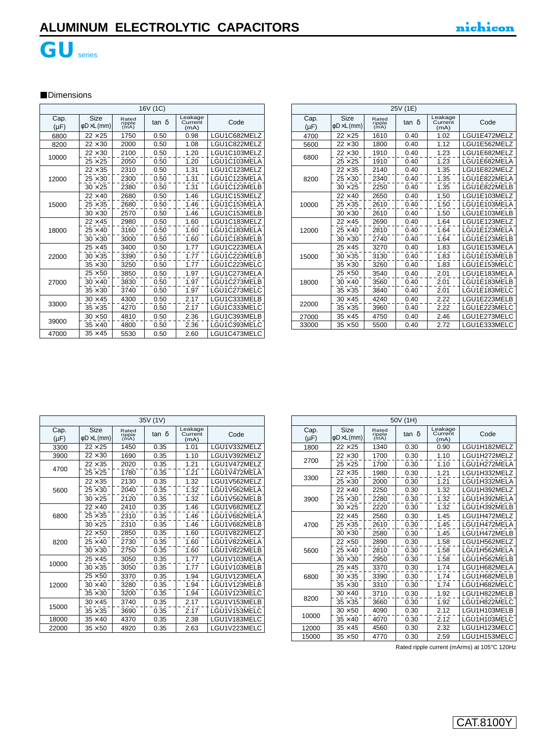

### **Dimensions**

|                   | 16V (1C)                        |                         |       |                            |              |  |  |  |
|-------------------|---------------------------------|-------------------------|-------|----------------------------|--------------|--|--|--|
| Cap.<br>$(\mu F)$ | Size<br>$\phi$ D $\times$ L(mm) | Rated<br>ripple<br>(mA) | tan δ | Leakage<br>Current<br>(mA) | Code         |  |  |  |
| 6800              | $22 \times 25$                  | 1750                    | 0.50  | 0.98                       | LGU1C682MELZ |  |  |  |
| 8200              | $22 \times 30$                  | 2000                    | 0.50  | 1.08                       | LGU1C822MELZ |  |  |  |
| 10000             | $22 \times 30$                  | 2100                    | 0.50  | 1.20                       | LGU1C103MELZ |  |  |  |
|                   | $25 \times 25$                  | 2050                    | 0.50  | 1.20                       | LGU1C103MELA |  |  |  |
|                   | $22 \times 35$                  | 2310                    | 0.50  | 1.31                       | LGU1C123MELZ |  |  |  |
| 12000             | $25 \times 30$                  | 2300                    | 0.50  | 1.31                       | LGU1C123MELA |  |  |  |
|                   | $30 \times 25$                  | 2380                    | 0.50  | 1.31                       | LGU1C123MELB |  |  |  |
|                   | $22 \times 40$                  | 2680                    | 0.50  | 1.46                       | LGU1C153MELZ |  |  |  |
| 15000             | $25 \times 35$                  | 2680                    | 0.50  | 1.46                       | LGU1C153MELA |  |  |  |
|                   | $30 \times 30$                  | 2570                    | 0.50  | 1.46                       | LGU1C153MELB |  |  |  |
|                   | $22 \times 45$                  | 2980                    | 0.50  | 1.60                       | LGU1C183MELZ |  |  |  |
| 18000             | $25 \times 40$                  | 3160                    | 0.50  | 1.60                       | LGU1C183MELA |  |  |  |
|                   | $30 \times 30$                  | 3000                    | 0.50  | 1.60                       | LGU1C183MELB |  |  |  |
|                   | $25 \times 45$                  | 3400                    | 0.50  | 1.77                       | LGU1C223MELA |  |  |  |
| 22000             | $30 \times 35$                  | 3390                    | 0.50  | 1.77                       | LGU1C223MELB |  |  |  |
|                   | $35 \times 30$                  | 3250                    | 0.50  | 1.77                       | LGU1C223MELC |  |  |  |
|                   | $25 \times 50$                  | 3850                    | 0.50  | 1.97                       | LGU1C273MELA |  |  |  |
| 27000             | $30 \times 40$                  | 3830                    | 0.50  | 1.97                       | LGU1C273MELB |  |  |  |
|                   | $35 \times 30$                  | 3740                    | 0.50  | 1.97                       | LGU1C273MELC |  |  |  |
|                   | $30 \times 45$                  | 4300                    | 0.50  | 2.17                       | LGU1C333MELB |  |  |  |
| 33000             | $35 \times 35$                  | 4270                    | 0.50  | 2.17                       | LGU1C333MELC |  |  |  |
|                   | $30 \times 50$                  | 4810                    | 0.50  | 2.36                       | LGU1C393MELB |  |  |  |
| 39000             | $35 \times 40$                  | 4800                    | 0.50  | 2.36                       | LGU1C393MELC |  |  |  |
| 47000             | $35 \times 45$                  | 5530                    | 0.50  | 2.60                       | LGU1C473MELC |  |  |  |

|                   | 25V (1E)         |                         |       |                            |              |  |  |  |
|-------------------|------------------|-------------------------|-------|----------------------------|--------------|--|--|--|
| Cap.<br>$(\mu F)$ | Size<br>¢D×L(mm) | Rated<br>ripple<br>(mA) | tan δ | Leakage<br>Current<br>(mA) | Code         |  |  |  |
| 4700              | $22 \times 25$   | 1610                    | 0.40  | 1.02                       | LGU1E472MELZ |  |  |  |
| 5600              | $22 \times 30$   | 1800                    | 0.40  | 1.12                       | LGU1E562MELZ |  |  |  |
| 6800              | $22 \times 30$   | 1910                    | 0.40  | 1.23                       | LGU1E682MELZ |  |  |  |
|                   | $25 \times 25$   | 1910                    | 0.40  | 1.23                       | LGU1E682MELA |  |  |  |
|                   | $22 \times 35$   | 2140                    | 0.40  | 1.35                       | LGU1E822MELZ |  |  |  |
| 8200              | $25 \times 30$   | 2340                    | 0.40  | 1.35                       | LGU1E822MELA |  |  |  |
|                   | $30 \times 25$   | 2250                    | 0.40  | 1.35                       | LGU1E822MELB |  |  |  |
|                   | $22 \times 40$   | 2650                    | 0.40  | 1.50                       | LGU1E103MELZ |  |  |  |
| 10000             | $25 \times 35$   | 2610                    | 0.40  | 1.50                       | LGU1E103MELA |  |  |  |
|                   | $30 \times 30$   | 2610                    | 0.40  | 1.50                       | LGU1E103MELB |  |  |  |
|                   | $22 \times 45$   | 2690                    | 0.40  | 1.64                       | LGU1E123MELZ |  |  |  |
| 12000             | $25 \times 40$   | 2810                    | 0.40  | 1.64                       | LGU1E123MELA |  |  |  |
|                   | $30 \times 30$   | 2740                    | 0.40  | 1.64                       | LGU1E123MELB |  |  |  |
|                   | $25 \times 45$   | 3270                    | 0.40  | 1.83                       | LGU1E153MELA |  |  |  |
| 15000             | $30 \times 35$   | 3130                    | 0.40  | 1.83                       | LGU1E153MELB |  |  |  |
|                   | $35 \times 30$   | 3260                    | 0.40  | 1.83                       | LGU1E153MELC |  |  |  |
|                   | $25 \times 50$   | 3540                    | 0.40  | 2.01                       | LGU1E183MELA |  |  |  |
| 18000             | $30 \times 40$   | 3560                    | 0.40  | 2.01                       | LGU1E183MELB |  |  |  |
|                   | $35 \times 35$   | 3840                    | 0.40  | 2.01                       | LGU1E183MELC |  |  |  |
|                   | $30 \times 45$   | 4240                    | 0.40  | 2.22                       | LGU1E223MELB |  |  |  |
| 22000             | $35 \times 35$   | 3960                    | 0.40  | 2.22                       | LGU1E223MELC |  |  |  |
| 27000             | $35 \times 45$   | 4750                    | 0.40  | 2.46                       | LGU1E273MELC |  |  |  |
| 33000             | $35 \times 50$   | 5500                    | 0.40  | 2.72                       | LGU1E333MELC |  |  |  |

|                   | 35V (1V)                |                         |       |                            |              |  |  |  |
|-------------------|-------------------------|-------------------------|-------|----------------------------|--------------|--|--|--|
| Cap.<br>$(\mu F)$ | <b>Size</b><br>φD×L(mm) | Rated<br>ripple<br>(mA) | tan δ | Leakage<br>Current<br>(mA) | Code         |  |  |  |
| 3300              | $22 \times 25$          | 1450                    | 0.35  | 1.01                       | LGU1V332MELZ |  |  |  |
| 3900              | $22\times30$            | 1690                    | 0.35  | 1.10                       | LGU1V392MELZ |  |  |  |
|                   | $22 \times 35$          | 2020                    | 0.35  | 1.21                       | LGU1V472MELZ |  |  |  |
| 4700              | $25 \times 25$          | 1780                    | 0.35  | 1.21                       | LGU1V472MELA |  |  |  |
|                   | $22 \times 35$          | 2130                    | 0.35  | 1.32                       | LGU1V562MELZ |  |  |  |
| 5600              | $25 \times 30$          | 2040                    | 0.35  | 1.32                       | LGU1V562MELA |  |  |  |
|                   | $30 \times 25$          | 2120                    | 0.35  | 1.32                       | LGU1V562MELB |  |  |  |
|                   | $22 \times 40$          | 2410                    | 0.35  | 1.46                       | LGU1V682MELZ |  |  |  |
| 6800              | $25 \times 35$          | 2310                    | 0.35  | 1.46                       | LGU1V682MELA |  |  |  |
|                   | $30 \times 25$          | 2310                    | 0.35  | 1.46                       | LGU1V682MELB |  |  |  |
|                   | $22 \times 50$          | 2850                    | 0.35  | 1.60                       | LGU1V822MELZ |  |  |  |
| 8200              | $25 \times 40$          | 2730                    | 0.35  | 1.60                       | LGU1V822MELA |  |  |  |
|                   | $30 \times 30$          | 2750                    | 0.35  | 1.60                       | LGU1V822MELB |  |  |  |
|                   | $25 \times 45$          | 3050                    | 0.35  | 1.77                       | LGU1V103MELA |  |  |  |
| 10000             | $30 \times 35$          | 3050                    | 0.35  | 1.77                       | LGU1V103MELB |  |  |  |
|                   | $25 \times 50$          | 3370                    | 0.35  | 1.94                       | LGU1V123MELA |  |  |  |
| 12000             | $30 \times 40$          | 3280                    | 0.35  | 1.94                       | LGU1V123MELB |  |  |  |
|                   | $35 \times 30$          | 3200                    | 0.35  | 1.94                       | LGU1V123MELC |  |  |  |
|                   | $30 \times 45$          | 3740                    | 0.35  | 2.17                       | LGU1V153MELB |  |  |  |
| 15000             | $35 \times 35$          | 3690                    | 0.35  | 2.17                       | LGU1V153MELC |  |  |  |
| 18000             | $35 \times 40$          | 4370                    | 0.35  | 2.38                       | LGU1V183MELC |  |  |  |
| 22000             | $35\times50$            | 4920                    | 0.35  | 2.63                       | LGU1V223MELC |  |  |  |

|                   | 50V (1H)         |                         |       |                            |              |  |  |  |
|-------------------|------------------|-------------------------|-------|----------------------------|--------------|--|--|--|
| Cap.<br>$(\mu F)$ | Size<br>¢D×L(mm) | Rated<br>ripple<br>(mA) | tan δ | Leakage<br>Current<br>(mA) | Code         |  |  |  |
| 1800              | $22 \times 25$   | 1340                    | 0.30  | 0.90                       | LGU1H182MELZ |  |  |  |
|                   | $22 \times 30$   | 1700                    | 0.30  | 1.10                       | LGU1H272MELZ |  |  |  |
| 2700              | $25 \times 25$   | 1700                    | 0.30  | 1.10                       | LGU1H272MELA |  |  |  |
|                   | $22 \times 35$   | 1980                    | 0.30  | 1.21                       | LGU1H332MELZ |  |  |  |
| 3300              | $25 \times 30$   | 2000                    | 0.30  | 1.21                       | LGU1H332MELA |  |  |  |
|                   | $22 \times 40$   | 2250                    | 0.30  | 1.32                       | LGU1H392MELZ |  |  |  |
| 3900              | $25\times30$     | 2280                    | 0.30  | 1.32                       | LGU1H392MELA |  |  |  |
|                   | $30 \times 25$   | 2220                    | 0.30  | 1.32                       | LGU1H392MELB |  |  |  |
|                   | $22 \times 45$   | 2560                    | 0.30  | 1.45                       | LGU1H472MELZ |  |  |  |
| 4700              | $25\times35$     | 2610                    | 0.30  | 1.45                       | LGU1H472MELA |  |  |  |
|                   | $30 \times 30$   | 2580                    | 0.30  | 1.45                       | LGU1H472MELB |  |  |  |
|                   | $22 \times 50$   | 2890                    | 0.30  | 1.58                       | LGU1H562MELZ |  |  |  |
| 5600              | $25 \times 40$   | 2810                    | 0.30  | 1.58                       | LGU1H562MELA |  |  |  |
|                   | $30 \times 30$   | 2950                    | 0.30  | 1.58                       | LGU1H562MELB |  |  |  |
|                   | $25 \times 45$   | 3370                    | 0.30  | 1.74                       | LGU1H682MELA |  |  |  |
| 6800              | $30 \times 35$   | 3390                    | 0.30  | 1.74                       | LGU1H682MELB |  |  |  |
|                   | $35 \times 30$   | 3310                    | 0.30  | 1.74                       | LGU1H682MELC |  |  |  |
|                   | $30 \times 40$   | 3710                    | 0.30  | 1.92                       | LGU1H822MELB |  |  |  |
| 8200              | $35\times35$     | 3660                    | 0.30  | 1.92                       | LGU1H822MELC |  |  |  |
|                   | $30 \times 50$   | 4090                    | 0.30  | 2.12                       | LGU1H103MELB |  |  |  |
| 10000             | $35 \times 40$   | 4070                    | 0.30  | 2.12                       | LGU1H103MELC |  |  |  |
| 12000             | $35 \times 45$   | 4560                    | 0.30  | 2.32                       | LGU1H123MELC |  |  |  |
| 15000             | $35\times50$     | 4770                    | 0.30  | 2.59                       | LGU1H153MELC |  |  |  |

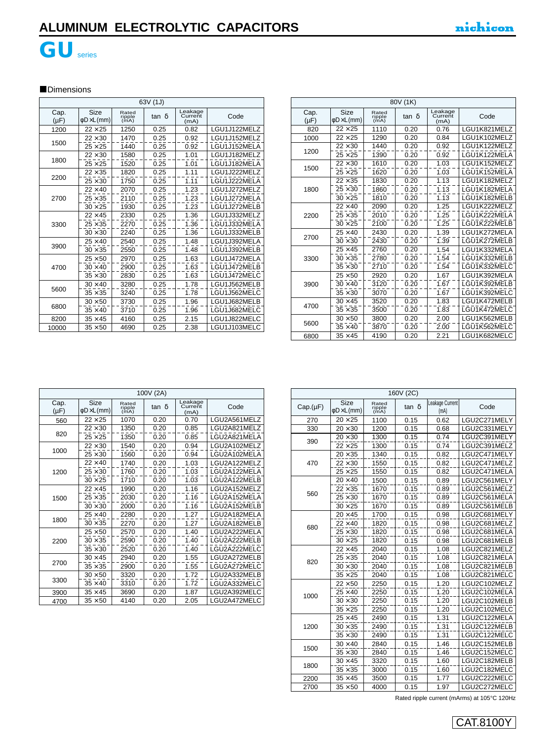

# **GU**series

### **Dimensions**

| 63V (1J)          |                                    |                         |       |                            |              |  |  |
|-------------------|------------------------------------|-------------------------|-------|----------------------------|--------------|--|--|
| Cap.<br>$(\mu F)$ | Size<br>$\phi$ D $\times$ L $(mm)$ | Rated<br>ripple<br>(mA) | tan δ | Leakage<br>Current<br>(mA) | Code         |  |  |
| 1200              | $22 \times 25$                     | 1250                    | 0.25  | 0.82                       | LGU1J122MELZ |  |  |
|                   | $22 \times 30$                     | 1470                    | 0.25  | 0.92                       | LGU1J152MELZ |  |  |
| 1500              | $25 \times 25$                     | 1440                    | 0.25  | 0.92                       | LGU1J152MELA |  |  |
|                   | $22 \times 30$                     | 1580                    | 0.25  | 1.01                       | LGU1J182MELZ |  |  |
| 1800              | $25\times25$                       | 1520                    | 0.25  | 1.01                       | LGU1J182MELA |  |  |
|                   | $22 \times 35$                     | 1820                    | 0.25  | 1.11                       | LGU1J222MELZ |  |  |
| 2200              | $25 \times 30$                     | 1750                    | 0.25  | 1.11                       | LGU1J222MELA |  |  |
|                   | $22 \times 40$                     | 2070                    | 0.25  | 1.23                       | LGU1J272MELZ |  |  |
| 2700              | $25 \times 35$                     | 2110                    | 0.25  | 1.23                       | LGU1J272MELA |  |  |
|                   | $30 \times 25$                     | 1930                    | 0.25  | 1.23                       | LGU1J272MELB |  |  |
|                   | $22 \times 45$                     | 2330                    | 0.25  | 1.36                       | LGU1J332MELZ |  |  |
| 3300              | $25 \times 35$                     | 2270                    | 0.25  | 1.36                       | LGU1J332MELA |  |  |
|                   | $30 \times 30$                     | 2240                    | 0.25  | 1.36                       | LGU1J332MELB |  |  |
|                   | $25 \times 40$                     | 2540                    | 0.25  | 1.48                       | LGU1J392MELA |  |  |
| 3900              | $30 \times 35$                     | 2550                    | 0.25  | 1.48                       | LGU1J392MELB |  |  |
|                   | $25 \times 50$                     | 2970                    | 0.25  | 1.63                       | LGU1J472MELA |  |  |
| 4700              | $30 \times 40$                     | 2900                    | 0.25  | 1.63                       | LGU1J472MELB |  |  |
|                   | $35 \times 30$                     | 2830                    | 0.25  | 1.63                       | LGU1J472MELC |  |  |
|                   | $30 \times 40$                     | 3280                    | 0.25  | 1.78                       | LGU1J562MELB |  |  |
| 5600              | $35 \times 35$                     | 3240                    | 0.25  | 1.78                       | LGU1J562MELC |  |  |
|                   | $30 \times 50$                     | 3730                    | 0.25  | 1.96                       | LGU1J682MELB |  |  |
| 6800              | $35 \times 40$                     | 3710                    | 0.25  | 1.96                       | LGU1J682MELC |  |  |
| 8200              | $35 \times 45$                     | 4160                    | 0.25  | 2.15                       | LGU1J822MELC |  |  |
| 10000             | $35 \times 50$                     | 4690                    | 0.25  | 2.38                       | LGU1J103MELC |  |  |

|                   | 80V (1K)                               |                         |       |                            |              |  |  |  |
|-------------------|----------------------------------------|-------------------------|-------|----------------------------|--------------|--|--|--|
| Cap.<br>$(\mu F)$ | <b>Size</b><br>$\phi$ D $\times$ L(mm) | Rated<br>ripple<br>(mA) | tan δ | Leakage<br>Current<br>(mA) | Code         |  |  |  |
| 820               | $22\times 25$                          | 1110                    | 0.20  | 0.76                       | LGU1K821MELZ |  |  |  |
| 1000              | $22 \times 25$                         | 1290                    | 0.20  | 0.84                       | LGU1K102MELZ |  |  |  |
|                   | $22 \times 30$                         | 1440                    | 0.20  | 0.92                       | LGU1K122MELZ |  |  |  |
| 1200              | $25 \times 25$                         | 1390                    | 0.20  | 0.92                       | LGU1K122MELA |  |  |  |
|                   | $22 \times 30$                         | 1610                    | 0.20  | 1.03                       | LGU1K152MELZ |  |  |  |
| 1500              | $25\times 25$                          | 1620                    | 0.20  | 1.03                       | LGU1K152MELA |  |  |  |
|                   | $22 \times 35$                         | 1830                    | 0.20  | 1.13                       | LGU1K182MELZ |  |  |  |
| 1800              | $25 \times 30$                         | 1860                    | 0.20  | 1.13                       | LGU1K182MELA |  |  |  |
|                   | $30 \times 25$                         | 1810                    | 0.20  | 1.13                       | LGU1K182MELB |  |  |  |
|                   | $22 \times 40$                         | 2090                    | 0.20  | 1.25                       | LGU1K222MELZ |  |  |  |
| 2200              | $25 \times 35$                         | 2010                    | 0.20  | 1.25                       | LGU1K222MELA |  |  |  |
|                   | $30 \times 25$                         | 2100                    | 0.20  | 1.25                       | LGU1K222MELB |  |  |  |
|                   | $25 \times 40$                         | 2430                    | 0.20  | 1.39                       | LGU1K272MELA |  |  |  |
| 2700              | $30 \times 30$                         | 2430                    | 0.20  | 1.39                       | LGU1K272MELB |  |  |  |
|                   | $25 \times 45$                         | 2760                    | 0.20  | 1.54                       | LGU1K332MELA |  |  |  |
| 3300              | $30 \times 35$                         | 2780                    | 0.20  | 1.54                       | LGU1K332MELB |  |  |  |
|                   | $35 \times 30$                         | 2710                    | 0.20  | 1.54                       | LGU1K332MELC |  |  |  |
|                   | $25 \times 50$                         | 2920                    | 0.20  | 1.67                       | LGU1K392MELA |  |  |  |
| 3900              | $30 \times 40$                         | 3120                    | 0.20  | 1.67                       | LGU1K392MELB |  |  |  |
|                   | $35 \times 30$                         | 3070                    | 0.20  | 1.67                       | LGU1K392MELC |  |  |  |
|                   | $30 \times 45$                         | 3520                    | 0.20  | 1.83                       | LGU1K472MELB |  |  |  |
| 4700              | $35 \times 35$                         | 3500                    | 0.20  | 1.83                       | LGU1K472MELC |  |  |  |
|                   | $30 \times 50$                         | 3800                    | 0.20  | 2.00                       | LGU1K562MELB |  |  |  |
| 5600              | $35 \times 40$                         | 3870                    | 0.20  | 2.00                       | LGU1K562MELC |  |  |  |
| 6800              | $35 \times 45$                         | 4190                    | 0.20  | 2.21                       | LGU1K682MELC |  |  |  |

| 100V (2A)         |                                    |                         |       |                            |              |  |  |
|-------------------|------------------------------------|-------------------------|-------|----------------------------|--------------|--|--|
| Cap.<br>$(\mu F)$ | Size<br>$\phi$ D $\times$ L $(mm)$ | Rated<br>ripple<br>(mA) | tan δ | Leakage<br>Current<br>(mA) | Code         |  |  |
| 560               | $22 \times 25$                     | 1070                    | 0.20  | 0.70                       | LGU2A561MELZ |  |  |
|                   | $22 \times 30$                     | 1350                    | 0.20  | 0.85                       | LGU2A821MELZ |  |  |
| 820               | $25 \times 25$                     | 1350                    | 0.20  | 0.85                       | LGU2A821MELA |  |  |
|                   | $22 \times 30$                     | 1540                    | 0.20  | 0.94                       | LGU2A102MELZ |  |  |
| 1000              | $25 \times 30$                     | 1560                    | 0.20  | 0.94                       | LGU2A102MELA |  |  |
|                   | $22 \times 40$                     | 1740                    | 0.20  | 1.03                       | LGU2A122MELZ |  |  |
| 1200              | $25 \times 30$                     | 1760                    | 0.20  | 1.03                       | LGU2A122MELA |  |  |
|                   | $30 \times 25$                     | 1710                    | 0.20  | 1.03                       | LGU2A122MELB |  |  |
|                   | $22 \times 45$                     | 1990                    | 0.20  | 1.16                       | LGU2A152MELZ |  |  |
| 1500              | $25 \times 35$                     | 2030                    | 0.20  | 1.16                       | LGU2A152MELA |  |  |
|                   | $30 \times 30$                     | 2000                    | 0.20  | 1.16                       | LGU2A152MELB |  |  |
|                   | $25 \times 40$                     | 2280                    | 0.20  | 1.27                       | LGU2A182MELA |  |  |
| 1800              | $30 \times 35$                     | 2270                    | 0.20  | 1.27                       | LGU2A182MELB |  |  |
|                   | $25 \times 50$                     | 2570                    | 0.20  | 1.40                       | LGU2A222MELA |  |  |
| 2200              | $30 \times 35$                     | 2590                    | 0.20  | 1.40                       | LGU2A222MELB |  |  |
|                   | $35 \times 30$                     | 2520                    | 0.20  | 1.40                       | LGU2A222MELC |  |  |
|                   | $30 \times 45$                     | 2940                    | 0.20  | 1.55                       | LGU2A272MELB |  |  |
| 2700              | $35 \times 35$                     | 2900                    | 0.20  | 1.55                       | LGU2A272MELC |  |  |
|                   | $30 \times 50$                     | 3320                    | 0.20  | 1.72                       | LGU2A332MELB |  |  |
| 3300              | $35 \times 40$                     | 3310                    | 0.20  | 1.72                       | LGU2A332MELC |  |  |
| 3900              | $35 \times 45$                     | 3690                    | 0.20  | 1.87                       | LGU2A392MELC |  |  |
| 4700              | $35\times50$                       | 4140                    | 0.20  | 2.05                       | LGU2A472MELC |  |  |

| 160V (2C) |                                        |                         |       |                         |              |  |
|-----------|----------------------------------------|-------------------------|-------|-------------------------|--------------|--|
| Cap.(µF)  | <b>Size</b><br>$\phi$ D $\times$ L(mm) | Rated<br>ripple<br>(mA) | tan δ | Leakage Current<br>(mA) | Code         |  |
| 270       | $20 \times 25$                         | 1100                    | 0.15  | 0.62                    | LGU2C271MELY |  |
| 330       | $20 \times 30$                         | 1200                    | 0.15  | 0.68                    | LGU2C331MELY |  |
| 390       | $20 \times 30$                         | 1300                    | 0.15  | 0.74                    | LGU2C391MELY |  |
|           | $22 \times 25$                         | 1300                    | 0.15  | 0.74                    | LGU2C391MELZ |  |
|           | $20 \times 35$                         | 1340                    | 0.15  | 0.82                    | LGU2C471MELY |  |
| 470       | $22 \times 30$                         | 1550                    | 0.15  | 0.82                    | LGU2C471MELZ |  |
|           | $25 \times 25$                         | 1550                    | 0.15  | 0.82                    | LGU2C471MELA |  |
|           | $20 \times 40$                         | 1500                    | 0.15  | 0.89                    | LGU2C561MELY |  |
|           | $22 \times 35$                         | 1670                    | 0.15  | 0.89                    | LGU2C561MELZ |  |
| 560       | $25 \times 30$                         | 1670                    | 0.15  | 0.89                    | LGU2C561MELA |  |
|           | $30 \times 25$                         | 1670                    | 0.15  | 0.89                    | LGU2C561MELB |  |
|           | $20 \times 45$                         | 1700                    | 0.15  | 0.98                    | LGU2C681MELY |  |
| 680       | $22 \times 40$                         | 1820                    | 0.15  | 0.98                    | LGU2C681MELZ |  |
|           | $25 \times 30$                         | 1820                    | 0.15  | 0.98                    | LGU2C681MELA |  |
|           | $30 \times 25$                         | 1820                    | 0.15  | 0.98                    | LGU2C681MELB |  |
|           | $22 \times 45$                         | 2040                    | 0.15  | 1.08                    | LGU2C821MELZ |  |
| 820       | $25 \times 35$                         | 2040                    | 0.15  | 1.08                    | LGU2C821MELA |  |
|           | $30 \times 30$                         | 2040                    | 0.15  | 1.08                    | LGU2C821MELB |  |
|           | $35 \times 25$                         | 2040                    | 0.15  | 1.08                    | LGU2C821MELC |  |
|           | $22 \times 50$                         | 2250                    | 0.15  | 1.20                    | LGU2C102MELZ |  |
| 1000      | $25 \times 40$                         | 2250                    | 0.15  | 1.20                    | LGU2C102MELA |  |
|           | $30 \times 30$                         | 2250                    | 0.15  | 1.20                    | LGU2C102MELB |  |
|           | $35 \times 25$                         | 2250                    | 0.15  | 1.20                    | LGU2C102MELC |  |
|           | $25 \times 45$                         | 2490                    | 0.15  | 1.31                    | LGU2C122MELA |  |
| 1200      | $30 \times 35$                         | 2490                    | 0.15  | 1.31                    | LGU2C122MELB |  |
|           | $35 \times 30$                         | 2490                    | 0.15  | 1.31                    | LGU2C122MELC |  |
| 1500      | $30 \times 40$                         | 2840                    | 0.15  | 1.46                    | LGU2C152MELB |  |
|           | $35 \times 30$                         | 2840                    | 0.15  | 1.46                    | LGU2C152MELC |  |
|           | $30 \times 45$                         | 3320                    | 0.15  | 1.60                    | LGU2C182MELB |  |
| 1800      | $35 \times 35$                         | 3000                    | 0.15  | 1.60                    | LGU2C182MELC |  |
| 2200      | $35 \times 45$                         | 3500                    | 0.15  | 1.77                    | LGU2C222MELC |  |
| 2700      | $35 \times 50$                         | 4000                    | 0.15  | 1.97                    | LGU2C272MELC |  |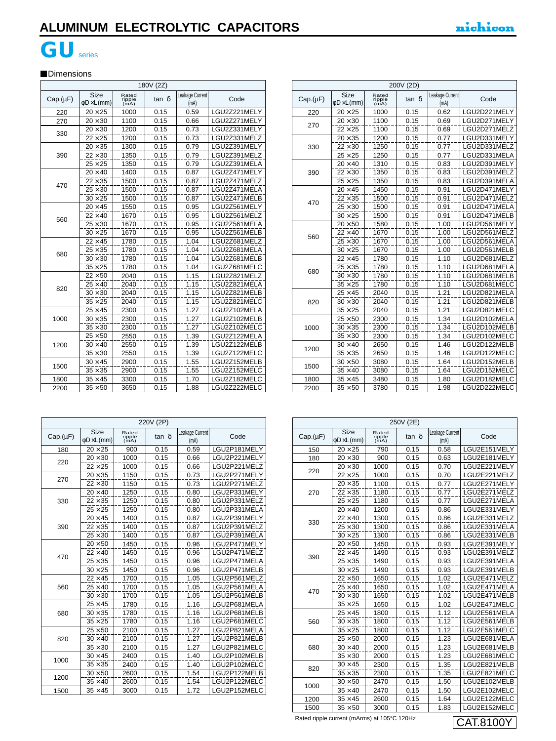180<br>180 Pagal Pagal Pagal Pagal Pagal Pagal Pagal Pagal Pagal Pagal Pagal Pagal Pagal Pagal Pagal Pagal Pagal Pag

# **GU**series

### **Dimensions**

| 180V (2Z) |                                        |                         |              |                         |              |  |  |
|-----------|----------------------------------------|-------------------------|--------------|-------------------------|--------------|--|--|
| Cap.(µF)  | <b>Size</b><br>$\phi$ D $\times$ L(mm) | Rated<br>ripple<br>(mA) | tan $\delta$ | Leakage Current<br>(mA) | Code         |  |  |
| 220       | $20 \times 25$                         | 1000                    | 0.15         | 0.59                    | LGU2Z221MELY |  |  |
| 270       | $20 \times 30$                         | 1100                    | 0.15         | 0.66                    | LGU2Z271MELY |  |  |
| 330       | $20 \times 30$                         | 1200                    | 0.15         | 0.73                    | LGU2Z331MELY |  |  |
|           | $22 \times 25$                         | 1200                    | 0.15         | 0.73                    | LGU2Z331MELZ |  |  |
|           | $20 \times 35$                         | 1300                    | 0.15         | 0.79                    | LGU2Z391MELY |  |  |
| 390       | $22 \times 30$                         | 1350                    | 0.15         | 0.79                    | LGU2Z391MELZ |  |  |
|           | $25 \times 25$                         | 1350                    | 0.15         | 0.79                    | LGU2Z391MELA |  |  |
|           | $20 \times 40$                         | 1400                    | 0.15         | 0.87                    | LGU2Z471MELY |  |  |
| 470       | $22 \times 35$                         | 1500                    | 0.15         | 0.87                    | LGU2Z471MELZ |  |  |
|           | $25 \times 30$                         | 1500                    | 0.15         | 0.87                    | LGU2Z471MELA |  |  |
|           | $30 \times 25$                         | 1500                    | 0.15         | 0.87                    | LGU2Z471MELB |  |  |
|           | $20 \times 45$                         | 1550                    | 0.15         | 0.95                    | LGU2Z561MELY |  |  |
| 560       | $22 \times 40$                         | 1670                    | 0.15         | 0.95                    | LGU2Z561MELZ |  |  |
|           | $25 \times 30$                         | 1670                    | 0.15         | 0.95                    | LGU2Z561MELA |  |  |
|           | $30 \times 25$                         | 1670                    | 0.15         | 0.95                    | LGU2Z561MELB |  |  |
|           | $22 \times 45$                         | 1780                    | 0.15         | 1.04                    | LGU2Z681MELZ |  |  |
| 680       | $25 \times 35$                         | 1780                    | 0.15         | 1.04                    | LGU2Z681MELA |  |  |
|           | $30 \times 30$                         | 1780                    | 0.15         | 1.04                    | LGU2Z681MELB |  |  |
|           | $35 \times 25$                         | 1780                    | 0.15         | 1.04                    | LGU2Z681MELC |  |  |
|           | $22 \times 50$                         | 2040                    | 0.15         | 1.15                    | LGU2Z821MELZ |  |  |
| 820       | $25 \times 40$                         | 2040                    | 0.15         | 1.15                    | LGU2Z821MELA |  |  |
|           | $30 \times 30$                         | 2040                    | 0.15         | 1.15                    | LGU2Z821MELB |  |  |
|           | $35 \times 25$                         | 2040                    | 0.15         | 1.15                    | LGU2Z821MELC |  |  |
|           | $25 \times 45$                         | 2300                    | 0.15         | 1.27                    | LGU2Z102MELA |  |  |
| 1000      | $30 \times 35$                         | 2300                    | 0.15         | 1.27                    | LGU2Z102MELB |  |  |
|           | $35 \times 30$                         | 2300                    | 0.15         | 1.27                    | LGU2Z102MELC |  |  |
|           | $25 \times 50$                         | 2550                    | 0.15         | 1.39                    | LGU2Z122MELA |  |  |
| 1200      | $30 \times 40$                         | 2550                    | 0.15         | 1.39                    | LGU2Z122MELB |  |  |
|           | $35 \times 30$                         | 2550                    | 0.15         | 1.39                    | LGU2Z122MELC |  |  |
| 1500      | $30 \times 45$                         | 2900                    | 0.15         | 1.55                    | LGU2Z152MELB |  |  |
|           | $35 \times 35$                         | 2900                    | 0.15         | 1.55                    | LGU2Z152MELC |  |  |
| 1800      | $35 \times 45$                         | 3300                    | 0.15         | 1.70                    | LGU2Z182MELC |  |  |
| 2200      | $35 \times 50$                         | 3650                    | 0.15         | 1.88                    | LGU2Z222MELC |  |  |

| 200V (2D) |                                 |                         |              |                         |              |  |  |
|-----------|---------------------------------|-------------------------|--------------|-------------------------|--------------|--|--|
| Cap.(µF)  | Size<br>$\phi$ D $\times$ L(mm) | Rated<br>ripple<br>(mA) | $tan \delta$ | Leakage Current<br>(mA) | Code         |  |  |
| 220       | $20 \times 25$                  | 1000                    | 0.15         | 0.62                    | LGU2D221MELY |  |  |
| 270       | $20 \times 30$                  | 1100                    | 0.15         | 0.69                    | LGU2D271MELY |  |  |
|           | $22 \times 25$                  | 1100                    | 0.15         | 0.69                    | LGU2D271MELZ |  |  |
|           | $20 \times 35$                  | 1200                    | 0.15         | 0.77                    | LGU2D331MELY |  |  |
| 330       | $22 \times 30$                  | 1250                    | 0.15         | 0.77                    | LGU2D331MELZ |  |  |
|           | $25 \times 25$                  | 1250                    | 0.15         | 0.77                    | LGU2D331MELA |  |  |
|           | $20 \times 40$                  | 1310                    | 0.15         | 0.83                    | LGU2D391MELY |  |  |
| 390       | $22 \times 30$                  | 1350                    | 0.15         | 0.83                    | LGU2D391MELZ |  |  |
|           | $25 \times 25$                  | 1350                    | 0.15         | 0.83                    | LGU2D391MELA |  |  |
|           | $20 \times 45$                  | 1450                    | 0.15         | 0.91                    | LGU2D471MELY |  |  |
|           | $22 \times 35$                  | 1500                    | 0.15         | 0.91                    | LGU2D471MELZ |  |  |
| 470       | $25 \times 30$                  | 1500                    | 0.15         | 0.91                    | LGU2D471MELA |  |  |
|           | $30 \times 25$                  | 1500                    | 0.15         | 0.91                    | LGU2D471MELB |  |  |
|           | $20 \times 50$                  | 1580                    | 0.15         | 1.00                    | LGU2D561MELY |  |  |
|           | $22 \times 40$                  | 1670                    | 0.15         | 1.00                    | LGU2D561MELZ |  |  |
| 560       | $25 \times 30$                  | 1670                    | 0.15         | 1.00                    | LGU2D561MELA |  |  |
|           | $30 \times 25$                  | 1670                    | 0.15         | 1.00                    | LGU2D561MELB |  |  |
|           | $22 \times 45$                  | 1780                    | 0.15         | 1.10                    | LGU2D681MELZ |  |  |
|           | $25 \times 35$                  | 1780                    | 0.15         | 1.10                    | LGU2D681MELA |  |  |
| 680       | $30 \times 30$                  | 1780                    | 0.15         | 1.10                    | LGU2D681MELB |  |  |
|           | $35 \times 25$                  | 1780                    | 0.15         | 1.10                    | LGU2D681MELC |  |  |
|           | $25 \times 45$                  | 2040                    | 0.15         | 1.21                    | LGU2D821MELA |  |  |
| 820       | $30 \times 30$                  | 2040                    | 0.15         | 1.21                    | LGU2D821MELB |  |  |
|           | $35 \times 25$                  | 2040                    | 0.15         | 1.21                    | LGU2D821MELC |  |  |
|           | $25 \times 50$                  | 2300                    | 0.15         | 1.34                    | LGU2D102MELA |  |  |
| 1000      | $30 \times 35$                  | 2300                    | 0.15         | 1.34                    | LGU2D102MELB |  |  |
|           | $35 \times 30$                  | 2300                    | 0.15         | 1.34                    | LGU2D102MELC |  |  |
|           | $30 \times 40$                  | 2650                    | 0.15         | 1.46                    | LGU2D122MELB |  |  |
| 1200      | $35 \times 35$                  | 2650                    | 0.15         | 1.46                    | LGU2D122MELC |  |  |
|           | $30 \times 50$                  | 3080                    | 0.15         | 1.64                    | LGU2D152MELB |  |  |
| 1500      | $35 \times 40$                  | 3080                    | 0.15         | 1.64                    | LGU2D152MELC |  |  |
| 1800      | $35 \times 45$                  | 3480                    | 0.15         | 1.80                    | LGU2D182MELC |  |  |
| 2200      | $35 \times 50$                  | 3780                    | 0.15         | 1.98                    | LGU2D222MELC |  |  |

|  | 220V (2P) |                                 |                         |       |                         |              |
|--|-----------|---------------------------------|-------------------------|-------|-------------------------|--------------|
|  | Cap.(µF)  | Size<br>$\phi$ D $\times$ L(mm) | Rated<br>ripple<br>(mA) | tan δ | Leakage Current<br>(mA) | Code         |
|  | 180       | $20 \times 25$                  | 900                     | 0.15  | 0.59                    | LGU2P181MELY |
|  | 220       | $20 \times 30$                  | 1000                    | 0.15  | 0.66                    | LGU2P221MELY |
|  |           | $22 \times 25$                  | 1000                    | 0.15  | 0.66                    | LGU2P221MELZ |
|  | 270       | $20 \times 35$                  | 1150                    | 0.15  | 0.73                    | LGU2P271MELY |
|  |           | $22 \times 30$                  | 1150                    | 0.15  | 0.73                    | LGU2P271MELZ |
|  |           | $20 \times 40$                  | 1250                    | 0.15  | 0.80                    | LGU2P331MELY |
|  | 330       | $22 \times 35$                  | 1250                    | 0.15  | 0.80                    | LGU2P331MELZ |
|  |           | $25 \times 25$                  | 1250                    | 0.15  | 0.80                    | LGU2P331MELA |
|  |           | $20 \times 45$                  | 1400                    | 0.15  | 0.87                    | LGU2P391MELY |
|  | 390       | $22 \times 35$                  | 1400                    | 0.15  | 0.87                    | LGU2P391MELZ |
|  |           | $25 \times 30$                  | 1400                    | 0.15  | 0.87                    | LGU2P391MELA |
|  |           | $20 \times 50$                  | 1450                    | 0.15  | 0.96                    | LGU2P471MELY |
|  | 470       | $22 \times 40$                  | 1450                    | 0.15  | 0.96                    | LGU2P471MELZ |
|  |           | $25 \times 35$                  | 1450                    | 0.15  | 0.96                    | LGU2P471MELA |
|  |           | $30 \times 25$                  | 1450                    | 0.15  | 0.96                    | LGU2P471MELB |
|  | 560       | $22 \times 45$                  | 1700                    | 0.15  | 1.05                    | LGU2P561MELZ |
|  |           | $25 \times 40$                  | 1700                    | 0.15  | 1.05                    | LGU2P561MELA |
|  |           | $30 \times 30$                  | 1700                    | 0.15  | 1.05                    | LGU2P561MELB |
|  |           | $25 \times 45$                  | 1780                    | 0.15  | 1.16                    | LGU2P681MELA |
|  | 680       | $30 \times 35$                  | 1780                    | 0.15  | 1.16                    | LGU2P681MELB |
|  |           | $35 \times 25$                  | 1780                    | 0.15  | 1.16                    | LGU2P681MELC |
|  |           | $25 \times 50$                  | 2100                    | 0.15  | 1.27                    | LGU2P821MELA |
|  | 820       | $30 \times 40$                  | 2100                    | 0.15  | 1.27                    | LGU2P821MELB |
|  |           | $35 \times 30$                  | 2100                    | 0.15  | 1.27                    | LGU2P821MELC |
|  | 1000      | $30 \times 45$                  | 2400                    | 0.15  | 1.40                    | LGU2P102MELB |
|  |           | $35 \times 35$                  | 2400                    | 0.15  | 1.40                    | LGU2P102MELC |
|  | 1200      | $30 \times 50$                  | 2600                    | 0.15  | 1.54                    | LGU2P122MELB |
|  |           | $35 \times 40$                  | 2600                    | 0.15  | 1.54                    | LGU2P122MELC |
|  | 1500      | $35 \times 45$                  | 3000                    | 0.15  | 1.72                    | LGU2P152MELC |

| 250V (2E) |                                        |                         |       |                         |              |
|-----------|----------------------------------------|-------------------------|-------|-------------------------|--------------|
| Cap.(µF)  | <b>Size</b><br>$\phi$ D $\times$ L(mm) | Rated<br>ripple<br>(mA) | tan δ | Leakage Current<br>(mA) | Code         |
| 150       | $20 \times 25$                         | 790                     | 0.15  | 0.58                    | LGU2E151MELY |
| 180       | $20 \times 30$                         | 900                     | 0.15  | 0.63                    | LGU2E181MELY |
| 220       | $20 \times 30$                         | 1000                    | 0.15  | 0.70                    | LGU2E221MELY |
|           | $22 \times 25$                         | 1000                    | 0.15  | 0.70                    | LGU2E221MELZ |
|           | $20 \times 35$                         | 1100                    | 0.15  | 0.77                    | LGU2E271MELY |
| 270       | $22 \times 35$                         | 1180                    | 0.15  | 0.77                    | LGU2E271MELZ |
|           | $25 \times 25$                         | 1180                    | 0.15  | 0.77                    | LGU2E271MELA |
|           | $20 \times 40$                         | 1200                    | 0.15  | 0.86                    | LGU2E331MELY |
| 330       | $22 \times 40$                         | 1300                    | 0.15  | 0.86                    | LGU2E331MELZ |
|           | $25 \times 30$                         | 1300                    | 0.15  | 0.86                    | LGU2E331MELA |
|           | $30 \times 25$                         | 1300                    | 0.15  | 0.86                    | LGU2E331MELB |
|           | $20 \times 50$                         | 1450                    | 0.15  | 0.93                    | LGU2E391MELY |
|           | $22 \times 45$                         | 1490                    | 0.15  | 0.93                    | LGU2E391MELZ |
| 390       | $25 \times 35$                         | 1490                    | 0.15  | 0.93                    | LGU2E391MELA |
|           | $30 \times 25$                         | 1490                    | 0.15  | 0.93                    | LGU2E391MELB |
|           | $22 \times 50$                         | 1650                    | 0.15  | 1.02                    | LGU2E471MELZ |
| 470       | $25 \times 40$                         | 1650                    | 0.15  | 1.02                    | LGU2E471MELA |
|           | $30 \times 30$                         | 1650                    | 0.15  | 1.02                    | LGU2E471MELB |
|           | $35 \times 25$                         | 1650                    | 0.15  | 1.02                    | LGU2E471MELC |
|           | $25 \times 45$                         | 1800                    | 0.15  | 1.12                    | LGU2E561MELA |
| 560       | $30 \times 35$                         | 1800                    | 0.15  | 1.12                    | LGU2E561MELB |
|           | $35 \times 25$                         | 1800                    | 0.15  | 1.12                    | LGU2E561MELC |
|           | $25\times50$                           | 2000                    | 0.15  | 1.23                    | LGU2E681MELA |
| 680       | $30 \times 40$                         | 2000                    | 0.15  | 1.23                    | LGU2E681MELB |
|           | $35 \times 30$                         | 2000                    | 0.15  | 1.23                    | LGU2E681MELC |
|           | $30 \times 45$                         | 2300                    | 0.15  | 1.35                    | LGU2E821MELB |
| 820       | $35 \times 35$                         | 2300                    | 0.15  | 1.35                    | LGU2E821MELC |
|           | $30 \times 50$                         | 2470                    | 0.15  | 1.50                    | LGU2E102MELB |
| 1000      | $35 \times 40$                         | 2470                    | 0.15  | 1.50                    | LGU2E102MELC |
| 1200      | $35 \times 45$                         | 2600                    | 0.15  | 1.64                    | LGU2E122MELC |
| 1500      | $35 \times 50$                         | 3000                    | 0.15  | 1.83                    | LGU2E152MELC |

CAT.8100Y